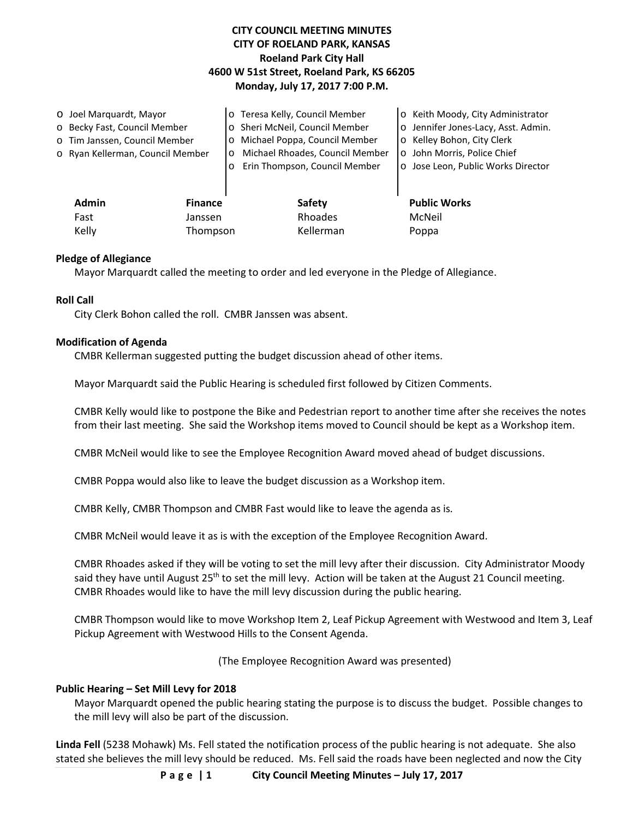# **CITY COUNCIL MEETING MINUTES CITY OF ROELAND PARK, KANSAS Roeland Park City Hall 4600 W 51st Street, Roeland Park, KS 66205 Monday, July 17, 2017 7:00 P.M.**

| O Joel Marquardt, Mayor      |                                  |         | o Teresa Kelly, Council Member             | o Keith Moody, City Administrator   |
|------------------------------|----------------------------------|---------|--------------------------------------------|-------------------------------------|
| o Becky Fast, Council Member |                                  |         | o Sheri McNeil, Council Member             | o Jennifer Jones-Lacy, Asst. Admin. |
|                              | o Tim Janssen, Council Member    |         | Michael Poppa, Council Member<br>$\circ$   | o Kelley Bohon, City Clerk          |
|                              | o Ryan Kellerman, Council Member |         | Michael Rhoades, Council Member<br>$\circ$ | o John Morris, Police Chief         |
|                              |                                  | $\circ$ | Erin Thompson, Council Member              | o Jose Leon, Public Works Director  |
|                              |                                  |         |                                            |                                     |
|                              | Admin<br><b>Finance</b>          |         | Safety                                     | <b>Public Works</b>                 |
|                              | Fast                             | Janssen | Rhoades                                    | McNeil                              |
|                              | Kelly<br>Thompson                |         | Kellerman                                  | Poppa                               |

#### **Pledge of Allegiance**

Mayor Marquardt called the meeting to order and led everyone in the Pledge of Allegiance.

#### **Roll Call**

City Clerk Bohon called the roll. CMBR Janssen was absent.

#### **Modification of Agenda**

CMBR Kellerman suggested putting the budget discussion ahead of other items.

Mayor Marquardt said the Public Hearing is scheduled first followed by Citizen Comments.

CMBR Kelly would like to postpone the Bike and Pedestrian report to another time after she receives the notes from their last meeting. She said the Workshop items moved to Council should be kept as a Workshop item.

CMBR McNeil would like to see the Employee Recognition Award moved ahead of budget discussions.

CMBR Poppa would also like to leave the budget discussion as a Workshop item.

CMBR Kelly, CMBR Thompson and CMBR Fast would like to leave the agenda as is.

CMBR McNeil would leave it as is with the exception of the Employee Recognition Award.

CMBR Rhoades asked if they will be voting to set the mill levy after their discussion. City Administrator Moody said they have until August 25<sup>th</sup> to set the mill levy. Action will be taken at the August 21 Council meeting. CMBR Rhoades would like to have the mill levy discussion during the public hearing.

CMBR Thompson would like to move Workshop Item 2, Leaf Pickup Agreement with Westwood and Item 3, Leaf Pickup Agreement with Westwood Hills to the Consent Agenda.

(The Employee Recognition Award was presented)

#### **Public Hearing – Set Mill Levy for 2018**

Mayor Marquardt opened the public hearing stating the purpose is to discuss the budget. Possible changes to the mill levy will also be part of the discussion.

**Linda Fell** (5238 Mohawk) Ms. Fell stated the notification process of the public hearing is not adequate. She also stated she believes the mill levy should be reduced. Ms. Fell said the roads have been neglected and now the City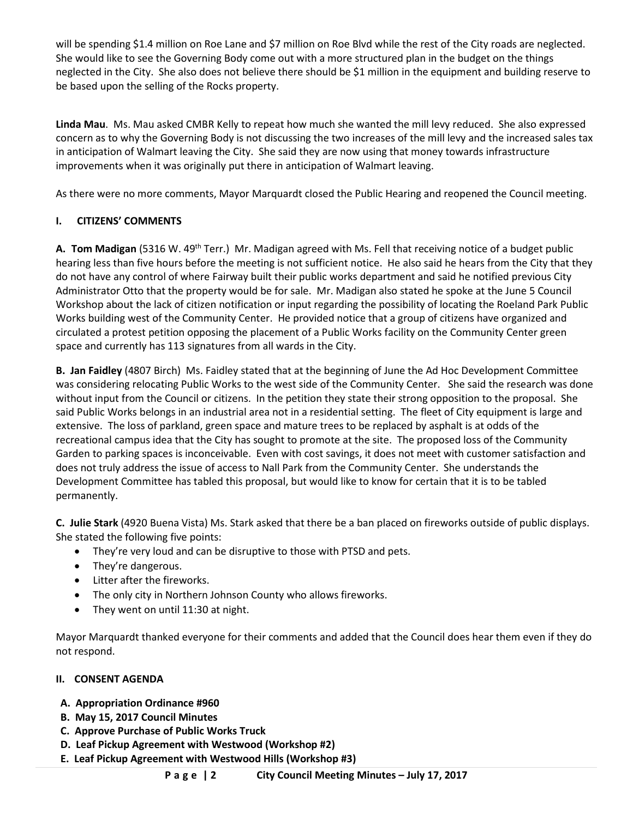will be spending \$1.4 million on Roe Lane and \$7 million on Roe Blvd while the rest of the City roads are neglected. She would like to see the Governing Body come out with a more structured plan in the budget on the things neglected in the City. She also does not believe there should be \$1 million in the equipment and building reserve to be based upon the selling of the Rocks property.

**Linda Mau**. Ms. Mau asked CMBR Kelly to repeat how much she wanted the mill levy reduced. She also expressed concern as to why the Governing Body is not discussing the two increases of the mill levy and the increased sales tax in anticipation of Walmart leaving the City. She said they are now using that money towards infrastructure improvements when it was originally put there in anticipation of Walmart leaving.

As there were no more comments, Mayor Marquardt closed the Public Hearing and reopened the Council meeting.

# **I. CITIZENS' COMMENTS**

**A. Tom Madigan** (5316 W. 49<sup>th</sup> Terr.) Mr. Madigan agreed with Ms. Fell that receiving notice of a budget public hearing less than five hours before the meeting is not sufficient notice. He also said he hears from the City that they do not have any control of where Fairway built their public works department and said he notified previous City Administrator Otto that the property would be for sale. Mr. Madigan also stated he spoke at the June 5 Council Workshop about the lack of citizen notification or input regarding the possibility of locating the Roeland Park Public Works building west of the Community Center. He provided notice that a group of citizens have organized and circulated a protest petition opposing the placement of a Public Works facility on the Community Center green space and currently has 113 signatures from all wards in the City.

**B. Jan Faidley** (4807 Birch) Ms. Faidley stated that at the beginning of June the Ad Hoc Development Committee was considering relocating Public Works to the west side of the Community Center. She said the research was done without input from the Council or citizens. In the petition they state their strong opposition to the proposal. She said Public Works belongs in an industrial area not in a residential setting. The fleet of City equipment is large and extensive. The loss of parkland, green space and mature trees to be replaced by asphalt is at odds of the recreational campus idea that the City has sought to promote at the site. The proposed loss of the Community Garden to parking spaces is inconceivable. Even with cost savings, it does not meet with customer satisfaction and does not truly address the issue of access to Nall Park from the Community Center. She understands the Development Committee has tabled this proposal, but would like to know for certain that it is to be tabled permanently.

**C. Julie Stark** (4920 Buena Vista) Ms. Stark asked that there be a ban placed on fireworks outside of public displays. She stated the following five points:

- They're very loud and can be disruptive to those with PTSD and pets.
- They're dangerous.
- Litter after the fireworks.
- The only city in Northern Johnson County who allows fireworks.
- They went on until 11:30 at night.

Mayor Marquardt thanked everyone for their comments and added that the Council does hear them even if they do not respond.

### **II. CONSENT AGENDA**

- **A. Appropriation Ordinance #960**
- **B. May 15, 2017 Council Minutes**
- **C. Approve Purchase of Public Works Truck**
- **D. Leaf Pickup Agreement with Westwood (Workshop #2)**
- **E. Leaf Pickup Agreement with Westwood Hills (Workshop #3)**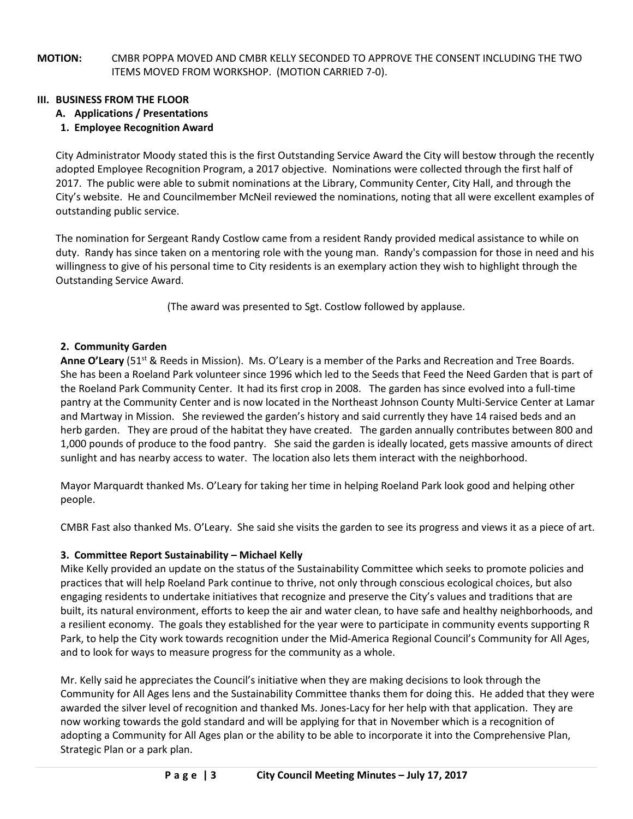**MOTION:** CMBR POPPA MOVED AND CMBR KELLY SECONDED TO APPROVE THE CONSENT INCLUDING THE TWO ITEMS MOVED FROM WORKSHOP. (MOTION CARRIED 7-0).

### **III. BUSINESS FROM THE FLOOR**

- **A. Applications / Presentations**
- **1. Employee Recognition Award**

City Administrator Moody stated this is the first Outstanding Service Award the City will bestow through the recently adopted Employee Recognition Program, a 2017 objective. Nominations were collected through the first half of 2017. The public were able to submit nominations at the Library, Community Center, City Hall, and through the City's website. He and Councilmember McNeil reviewed the nominations, noting that all were excellent examples of outstanding public service.

The nomination for Sergeant Randy Costlow came from a resident Randy provided medical assistance to while on duty. Randy has since taken on a mentoring role with the young man. Randy's compassion for those in need and his willingness to give of his personal time to City residents is an exemplary action they wish to highlight through the Outstanding Service Award.

(The award was presented to Sgt. Costlow followed by applause.

# **2. Community Garden**

Anne O'Leary (51<sup>st</sup> & Reeds in Mission). Ms. O'Leary is a member of the Parks and Recreation and Tree Boards. She has been a Roeland Park volunteer since 1996 which led to the Seeds that Feed the Need Garden that is part of the Roeland Park Community Center. It had its first crop in 2008. The garden has since evolved into a full-time pantry at the Community Center and is now located in the Northeast Johnson County Multi-Service Center at Lamar and Martway in Mission. She reviewed the garden's history and said currently they have 14 raised beds and an herb garden. They are proud of the habitat they have created. The garden annually contributes between 800 and 1,000 pounds of produce to the food pantry. She said the garden is ideally located, gets massive amounts of direct sunlight and has nearby access to water. The location also lets them interact with the neighborhood.

Mayor Marquardt thanked Ms. O'Leary for taking her time in helping Roeland Park look good and helping other people.

CMBR Fast also thanked Ms. O'Leary. She said she visits the garden to see its progress and views it as a piece of art.

# **3. Committee Report Sustainability – Michael Kelly**

Mike Kelly provided an update on the status of the Sustainability Committee which seeks to promote policies and practices that will help Roeland Park continue to thrive, not only through conscious ecological choices, but also engaging residents to undertake initiatives that recognize and preserve the City's values and traditions that are built, its natural environment, efforts to keep the air and water clean, to have safe and healthy neighborhoods, and a resilient economy. The goals they established for the year were to participate in community events supporting R Park, to help the City work towards recognition under the Mid-America Regional Council's Community for All Ages, and to look for ways to measure progress for the community as a whole.

Mr. Kelly said he appreciates the Council's initiative when they are making decisions to look through the Community for All Ages lens and the Sustainability Committee thanks them for doing this. He added that they were awarded the silver level of recognition and thanked Ms. Jones-Lacy for her help with that application. They are now working towards the gold standard and will be applying for that in November which is a recognition of adopting a Community for All Ages plan or the ability to be able to incorporate it into the Comprehensive Plan, Strategic Plan or a park plan.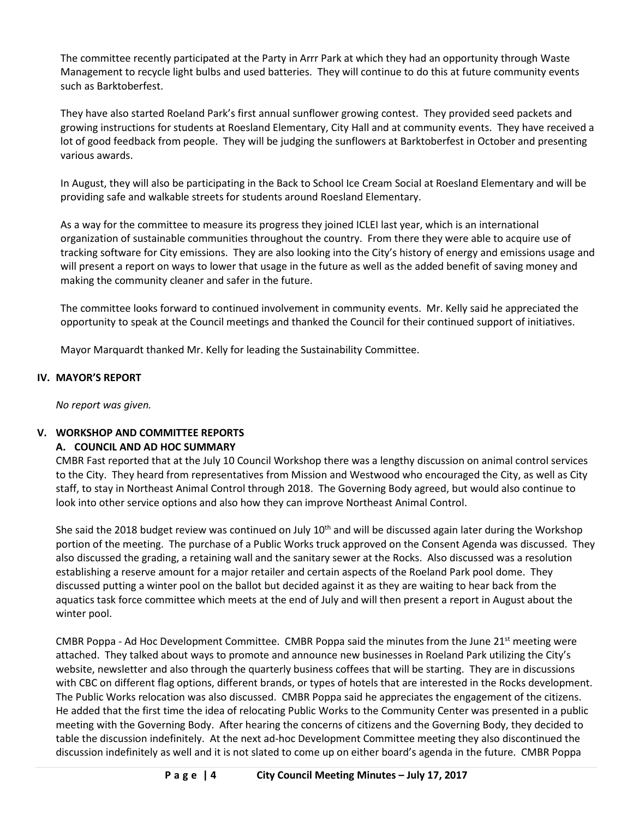The committee recently participated at the Party in Arrr Park at which they had an opportunity through Waste Management to recycle light bulbs and used batteries. They will continue to do this at future community events such as Barktoberfest.

They have also started Roeland Park's first annual sunflower growing contest. They provided seed packets and growing instructions for students at Roesland Elementary, City Hall and at community events. They have received a lot of good feedback from people. They will be judging the sunflowers at Barktoberfest in October and presenting various awards.

In August, they will also be participating in the Back to School Ice Cream Social at Roesland Elementary and will be providing safe and walkable streets for students around Roesland Elementary.

As a way for the committee to measure its progress they joined ICLEI last year, which is an international organization of sustainable communities throughout the country. From there they were able to acquire use of tracking software for City emissions. They are also looking into the City's history of energy and emissions usage and will present a report on ways to lower that usage in the future as well as the added benefit of saving money and making the community cleaner and safer in the future.

The committee looks forward to continued involvement in community events. Mr. Kelly said he appreciated the opportunity to speak at the Council meetings and thanked the Council for their continued support of initiatives.

Mayor Marquardt thanked Mr. Kelly for leading the Sustainability Committee.

### **IV. MAYOR'S REPORT**

*No report was given.*

### **V. WORKSHOP AND COMMITTEE REPORTS A. COUNCIL AND AD HOC SUMMARY**

CMBR Fast reported that at the July 10 Council Workshop there was a lengthy discussion on animal control services to the City. They heard from representatives from Mission and Westwood who encouraged the City, as well as City staff, to stay in Northeast Animal Control through 2018. The Governing Body agreed, but would also continue to look into other service options and also how they can improve Northeast Animal Control.

She said the 2018 budget review was continued on July 10<sup>th</sup> and will be discussed again later during the Workshop portion of the meeting. The purchase of a Public Works truck approved on the Consent Agenda was discussed. They also discussed the grading, a retaining wall and the sanitary sewer at the Rocks. Also discussed was a resolution establishing a reserve amount for a major retailer and certain aspects of the Roeland Park pool dome. They discussed putting a winter pool on the ballot but decided against it as they are waiting to hear back from the aquatics task force committee which meets at the end of July and will then present a report in August about the winter pool.

CMBR Poppa - Ad Hoc Development Committee. CMBR Poppa said the minutes from the June 21<sup>st</sup> meeting were attached. They talked about ways to promote and announce new businesses in Roeland Park utilizing the City's website, newsletter and also through the quarterly business coffees that will be starting. They are in discussions with CBC on different flag options, different brands, or types of hotels that are interested in the Rocks development. The Public Works relocation was also discussed. CMBR Poppa said he appreciates the engagement of the citizens. He added that the first time the idea of relocating Public Works to the Community Center was presented in a public meeting with the Governing Body. After hearing the concerns of citizens and the Governing Body, they decided to table the discussion indefinitely. At the next ad-hoc Development Committee meeting they also discontinued the discussion indefinitely as well and it is not slated to come up on either board's agenda in the future. CMBR Poppa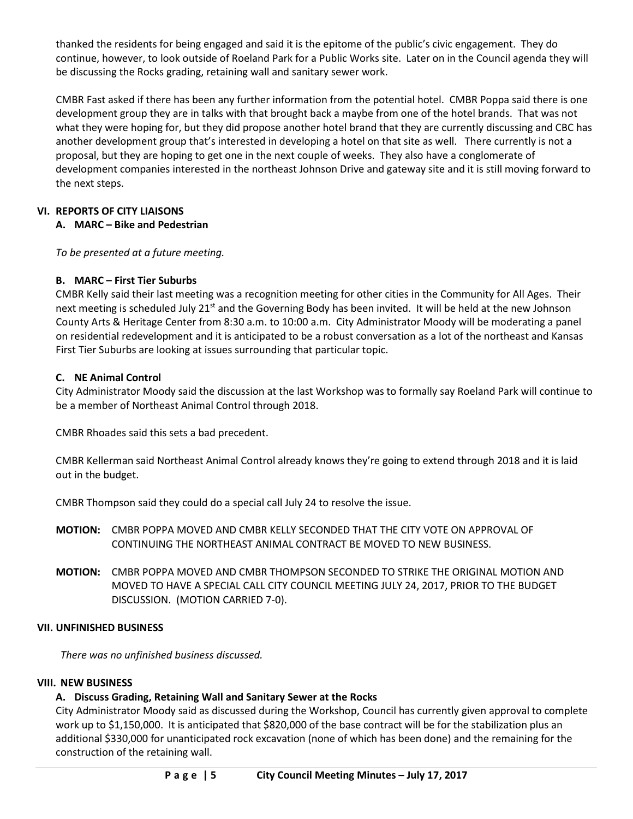thanked the residents for being engaged and said it is the epitome of the public's civic engagement. They do continue, however, to look outside of Roeland Park for a Public Works site. Later on in the Council agenda they will be discussing the Rocks grading, retaining wall and sanitary sewer work.

CMBR Fast asked if there has been any further information from the potential hotel. CMBR Poppa said there is one development group they are in talks with that brought back a maybe from one of the hotel brands. That was not what they were hoping for, but they did propose another hotel brand that they are currently discussing and CBC has another development group that's interested in developing a hotel on that site as well. There currently is not a proposal, but they are hoping to get one in the next couple of weeks. They also have a conglomerate of development companies interested in the northeast Johnson Drive and gateway site and it is still moving forward to the next steps.

# **VI. REPORTS OF CITY LIAISONS**

**A. MARC – Bike and Pedestrian**

*To be presented at a future meeting.* 

### **B. MARC – First Tier Suburbs**

CMBR Kelly said their last meeting was a recognition meeting for other cities in the Community for All Ages. Their next meeting is scheduled July 21<sup>st</sup> and the Governing Body has been invited. It will be held at the new Johnson County Arts & Heritage Center from 8:30 a.m. to 10:00 a.m. City Administrator Moody will be moderating a panel on residential redevelopment and it is anticipated to be a robust conversation as a lot of the northeast and Kansas First Tier Suburbs are looking at issues surrounding that particular topic.

### **C. NE Animal Control**

City Administrator Moody said the discussion at the last Workshop was to formally say Roeland Park will continue to be a member of Northeast Animal Control through 2018.

CMBR Rhoades said this sets a bad precedent.

CMBR Kellerman said Northeast Animal Control already knows they're going to extend through 2018 and it is laid out in the budget.

CMBR Thompson said they could do a special call July 24 to resolve the issue.

- **MOTION:** CMBR POPPA MOVED AND CMBR KELLY SECONDED THAT THE CITY VOTE ON APPROVAL OF CONTINUING THE NORTHEAST ANIMAL CONTRACT BE MOVED TO NEW BUSINESS.
- **MOTION:** CMBR POPPA MOVED AND CMBR THOMPSON SECONDED TO STRIKE THE ORIGINAL MOTION AND MOVED TO HAVE A SPECIAL CALL CITY COUNCIL MEETING JULY 24, 2017, PRIOR TO THE BUDGET DISCUSSION. (MOTION CARRIED 7-0).

### **VII. UNFINISHED BUSINESS**

*There was no unfinished business discussed.*

### **VIII. NEW BUSINESS**

### **A. Discuss Grading, Retaining Wall and Sanitary Sewer at the Rocks**

City Administrator Moody said as discussed during the Workshop, Council has currently given approval to complete work up to \$1,150,000. It is anticipated that \$820,000 of the base contract will be for the stabilization plus an additional \$330,000 for unanticipated rock excavation (none of which has been done) and the remaining for the construction of the retaining wall.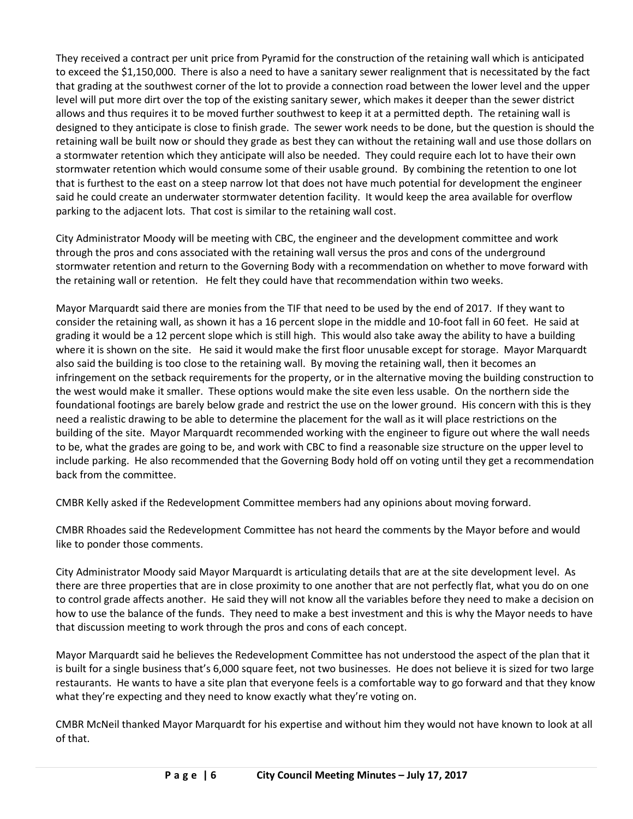They received a contract per unit price from Pyramid for the construction of the retaining wall which is anticipated to exceed the \$1,150,000. There is also a need to have a sanitary sewer realignment that is necessitated by the fact that grading at the southwest corner of the lot to provide a connection road between the lower level and the upper level will put more dirt over the top of the existing sanitary sewer, which makes it deeper than the sewer district allows and thus requires it to be moved further southwest to keep it at a permitted depth. The retaining wall is designed to they anticipate is close to finish grade. The sewer work needs to be done, but the question is should the retaining wall be built now or should they grade as best they can without the retaining wall and use those dollars on a stormwater retention which they anticipate will also be needed. They could require each lot to have their own stormwater retention which would consume some of their usable ground. By combining the retention to one lot that is furthest to the east on a steep narrow lot that does not have much potential for development the engineer said he could create an underwater stormwater detention facility. It would keep the area available for overflow parking to the adjacent lots. That cost is similar to the retaining wall cost.

City Administrator Moody will be meeting with CBC, the engineer and the development committee and work through the pros and cons associated with the retaining wall versus the pros and cons of the underground stormwater retention and return to the Governing Body with a recommendation on whether to move forward with the retaining wall or retention. He felt they could have that recommendation within two weeks.

Mayor Marquardt said there are monies from the TIF that need to be used by the end of 2017. If they want to consider the retaining wall, as shown it has a 16 percent slope in the middle and 10-foot fall in 60 feet. He said at grading it would be a 12 percent slope which is still high. This would also take away the ability to have a building where it is shown on the site. He said it would make the first floor unusable except for storage. Mayor Marquardt also said the building is too close to the retaining wall. By moving the retaining wall, then it becomes an infringement on the setback requirements for the property, or in the alternative moving the building construction to the west would make it smaller. These options would make the site even less usable. On the northern side the foundational footings are barely below grade and restrict the use on the lower ground. His concern with this is they need a realistic drawing to be able to determine the placement for the wall as it will place restrictions on the building of the site. Mayor Marquardt recommended working with the engineer to figure out where the wall needs to be, what the grades are going to be, and work with CBC to find a reasonable size structure on the upper level to include parking. He also recommended that the Governing Body hold off on voting until they get a recommendation back from the committee.

CMBR Kelly asked if the Redevelopment Committee members had any opinions about moving forward.

CMBR Rhoades said the Redevelopment Committee has not heard the comments by the Mayor before and would like to ponder those comments.

City Administrator Moody said Mayor Marquardt is articulating details that are at the site development level. As there are three properties that are in close proximity to one another that are not perfectly flat, what you do on one to control grade affects another. He said they will not know all the variables before they need to make a decision on how to use the balance of the funds. They need to make a best investment and this is why the Mayor needs to have that discussion meeting to work through the pros and cons of each concept.

Mayor Marquardt said he believes the Redevelopment Committee has not understood the aspect of the plan that it is built for a single business that's 6,000 square feet, not two businesses. He does not believe it is sized for two large restaurants. He wants to have a site plan that everyone feels is a comfortable way to go forward and that they know what they're expecting and they need to know exactly what they're voting on.

CMBR McNeil thanked Mayor Marquardt for his expertise and without him they would not have known to look at all of that.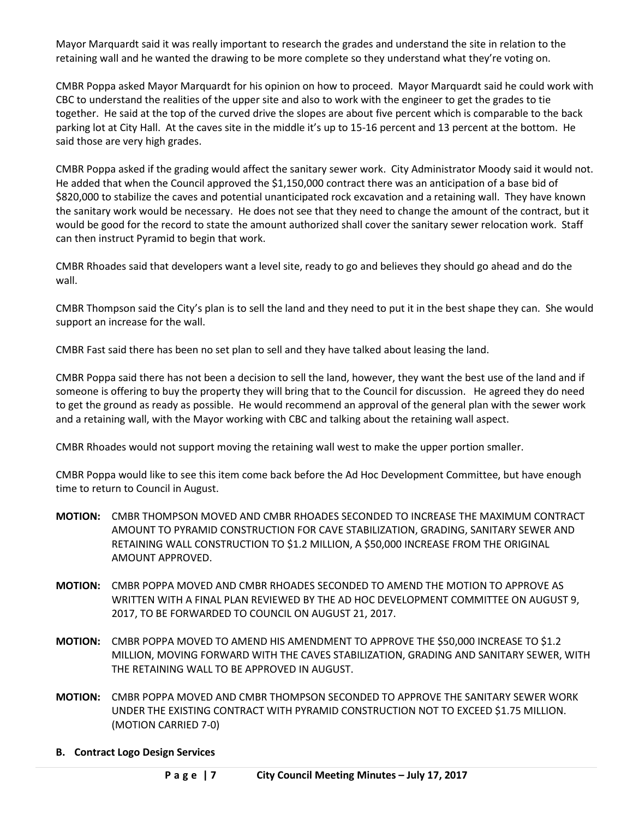Mayor Marquardt said it was really important to research the grades and understand the site in relation to the retaining wall and he wanted the drawing to be more complete so they understand what they're voting on.

CMBR Poppa asked Mayor Marquardt for his opinion on how to proceed. Mayor Marquardt said he could work with CBC to understand the realities of the upper site and also to work with the engineer to get the grades to tie together. He said at the top of the curved drive the slopes are about five percent which is comparable to the back parking lot at City Hall. At the caves site in the middle it's up to 15-16 percent and 13 percent at the bottom. He said those are very high grades.

CMBR Poppa asked if the grading would affect the sanitary sewer work. City Administrator Moody said it would not. He added that when the Council approved the \$1,150,000 contract there was an anticipation of a base bid of \$820,000 to stabilize the caves and potential unanticipated rock excavation and a retaining wall. They have known the sanitary work would be necessary. He does not see that they need to change the amount of the contract, but it would be good for the record to state the amount authorized shall cover the sanitary sewer relocation work. Staff can then instruct Pyramid to begin that work.

CMBR Rhoades said that developers want a level site, ready to go and believes they should go ahead and do the wall.

CMBR Thompson said the City's plan is to sell the land and they need to put it in the best shape they can. She would support an increase for the wall.

CMBR Fast said there has been no set plan to sell and they have talked about leasing the land.

CMBR Poppa said there has not been a decision to sell the land, however, they want the best use of the land and if someone is offering to buy the property they will bring that to the Council for discussion. He agreed they do need to get the ground as ready as possible. He would recommend an approval of the general plan with the sewer work and a retaining wall, with the Mayor working with CBC and talking about the retaining wall aspect.

CMBR Rhoades would not support moving the retaining wall west to make the upper portion smaller.

CMBR Poppa would like to see this item come back before the Ad Hoc Development Committee, but have enough time to return to Council in August.

- **MOTION:** CMBR THOMPSON MOVED AND CMBR RHOADES SECONDED TO INCREASE THE MAXIMUM CONTRACT AMOUNT TO PYRAMID CONSTRUCTION FOR CAVE STABILIZATION, GRADING, SANITARY SEWER AND RETAINING WALL CONSTRUCTION TO \$1.2 MILLION, A \$50,000 INCREASE FROM THE ORIGINAL AMOUNT APPROVED.
- **MOTION:** CMBR POPPA MOVED AND CMBR RHOADES SECONDED TO AMEND THE MOTION TO APPROVE AS WRITTEN WITH A FINAL PLAN REVIEWED BY THE AD HOC DEVELOPMENT COMMITTEE ON AUGUST 9, 2017, TO BE FORWARDED TO COUNCIL ON AUGUST 21, 2017.
- **MOTION:** CMBR POPPA MOVED TO AMEND HIS AMENDMENT TO APPROVE THE \$50,000 INCREASE TO \$1.2 MILLION, MOVING FORWARD WITH THE CAVES STABILIZATION, GRADING AND SANITARY SEWER, WITH THE RETAINING WALL TO BE APPROVED IN AUGUST.
- **MOTION:** CMBR POPPA MOVED AND CMBR THOMPSON SECONDED TO APPROVE THE SANITARY SEWER WORK UNDER THE EXISTING CONTRACT WITH PYRAMID CONSTRUCTION NOT TO EXCEED \$1.75 MILLION. (MOTION CARRIED 7-0)
- **B. Contract Logo Design Services**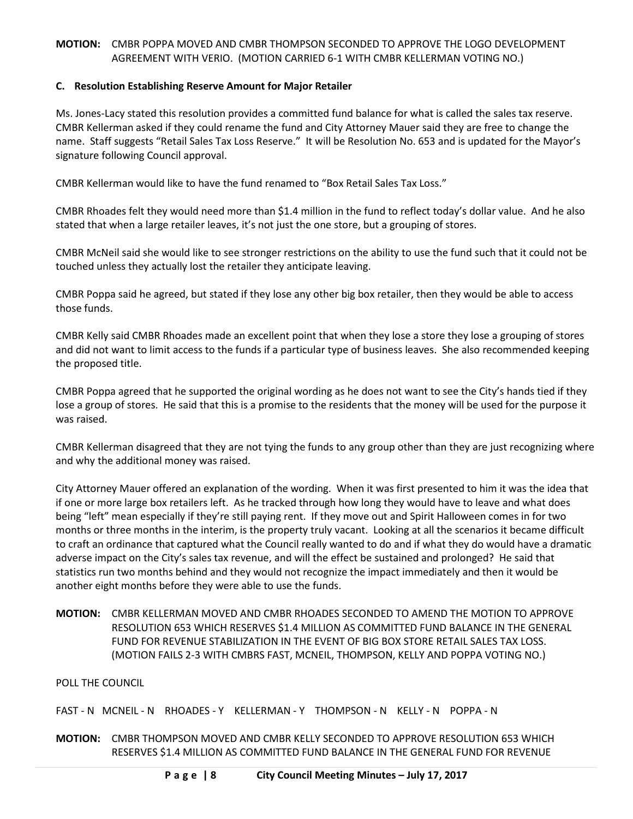### **MOTION:** CMBR POPPA MOVED AND CMBR THOMPSON SECONDED TO APPROVE THE LOGO DEVELOPMENT AGREEMENT WITH VERIO. (MOTION CARRIED 6-1 WITH CMBR KELLERMAN VOTING NO.)

#### **C. Resolution Establishing Reserve Amount for Major Retailer**

Ms. Jones-Lacy stated this resolution provides a committed fund balance for what is called the sales tax reserve. CMBR Kellerman asked if they could rename the fund and City Attorney Mauer said they are free to change the name. Staff suggests "Retail Sales Tax Loss Reserve." It will be Resolution No. 653 and is updated for the Mayor's signature following Council approval.

CMBR Kellerman would like to have the fund renamed to "Box Retail Sales Tax Loss."

CMBR Rhoades felt they would need more than \$1.4 million in the fund to reflect today's dollar value. And he also stated that when a large retailer leaves, it's not just the one store, but a grouping of stores.

CMBR McNeil said she would like to see stronger restrictions on the ability to use the fund such that it could not be touched unless they actually lost the retailer they anticipate leaving.

CMBR Poppa said he agreed, but stated if they lose any other big box retailer, then they would be able to access those funds.

CMBR Kelly said CMBR Rhoades made an excellent point that when they lose a store they lose a grouping of stores and did not want to limit access to the funds if a particular type of business leaves. She also recommended keeping the proposed title.

CMBR Poppa agreed that he supported the original wording as he does not want to see the City's hands tied if they lose a group of stores. He said that this is a promise to the residents that the money will be used for the purpose it was raised.

CMBR Kellerman disagreed that they are not tying the funds to any group other than they are just recognizing where and why the additional money was raised.

City Attorney Mauer offered an explanation of the wording. When it was first presented to him it was the idea that if one or more large box retailers left. As he tracked through how long they would have to leave and what does being "left" mean especially if they're still paying rent. If they move out and Spirit Halloween comes in for two months or three months in the interim, is the property truly vacant. Looking at all the scenarios it became difficult to craft an ordinance that captured what the Council really wanted to do and if what they do would have a dramatic adverse impact on the City's sales tax revenue, and will the effect be sustained and prolonged? He said that statistics run two months behind and they would not recognize the impact immediately and then it would be another eight months before they were able to use the funds.

**MOTION:** CMBR KELLERMAN MOVED AND CMBR RHOADES SECONDED TO AMEND THE MOTION TO APPROVE RESOLUTION 653 WHICH RESERVES \$1.4 MILLION AS COMMITTED FUND BALANCE IN THE GENERAL FUND FOR REVENUE STABILIZATION IN THE EVENT OF BIG BOX STORE RETAIL SALES TAX LOSS. (MOTION FAILS 2-3 WITH CMBRS FAST, MCNEIL, THOMPSON, KELLY AND POPPA VOTING NO.)

POLL THE COUNCIL

- FAST N MCNEIL N RHOADES Y KELLERMAN Y THOMPSON N KELLY N POPPA N
- **MOTION:** CMBR THOMPSON MOVED AND CMBR KELLY SECONDED TO APPROVE RESOLUTION 653 WHICH RESERVES \$1.4 MILLION AS COMMITTED FUND BALANCE IN THE GENERAL FUND FOR REVENUE